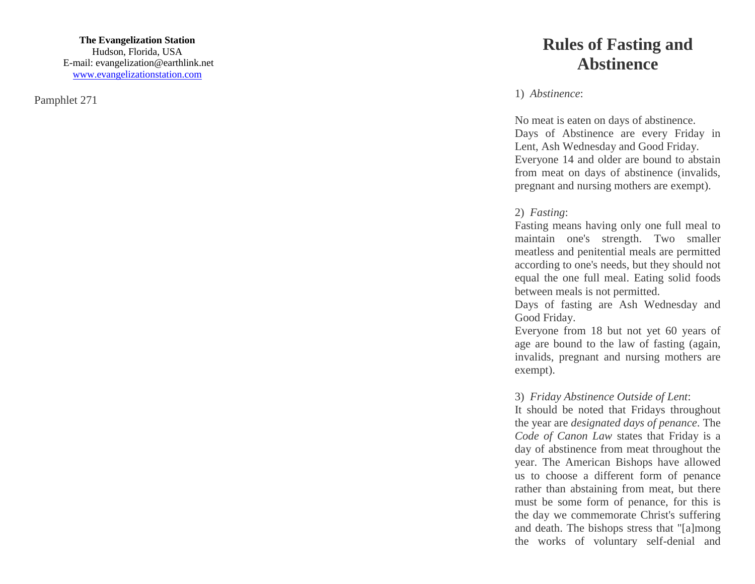Pamphlet 271

## **Rules of Fasting and Abstinence**

1) *Abstinence*:

No meat is eaten on days of abstinence. Days of Abstinence are every Friday in Lent, Ash Wednesday and Good Friday. Everyone 14 and older are bound to abstain from meat on days of abstinence (invalids, pregnant and nursing mothers are exempt).

## 2) *Fasting*:

Fasting means having only one full meal to maintain one's strength. Two smaller meatless and penitential meals are permitted according to one's needs, but they should not equal the one full meal. Eating solid foods between meals is not permitted.

Days of fasting are Ash Wednesday and Good Friday.

Everyone from 18 but not yet 60 years of age are bound to the law of fasting (again, invalids, pregnant and nursing mothers are exempt).

## 3) *Friday Abstinence Outside of Lent*:

It should be noted that Fridays throughout the year are *designated days of penance*. The *Code of Canon Law* states that Friday is a day of abstinence from meat throughout the year. The American Bishops have allowed us to choose a different form of penance rather than abstaining from meat, but there must be some form of penance, for this is the day we commemorate Christ's suffering and death. The bishops stress that "[a]mong the works of voluntary self -denial and